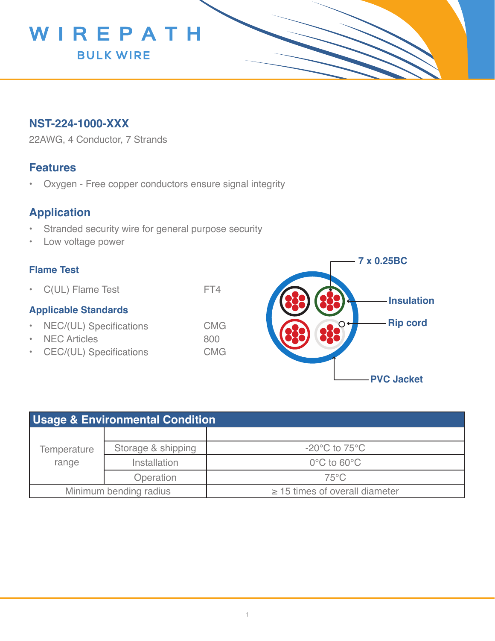

## **NST-224-1000-XXX**

22AWG, 4 Conductor, 7 Strands

### **Features**

• Oxygen - Free copper conductors ensure signal integrity

# **Application**

- Stranded security wire for general purpose security
- Low voltage power

#### **Flame Test**

• C(UL) Flame Test FT4

#### **Applicable Standards**

- NEC/(UL) Specifications CMG
- NEC Articles 800
- CEC/(UL) Specifications CMG



| <b>Usage &amp; Environmental Condition</b> |                    |                                     |  |  |
|--------------------------------------------|--------------------|-------------------------------------|--|--|
|                                            |                    |                                     |  |  |
| Temperature<br>range                       | Storage & shipping | $-20^{\circ}$ C to 75 $^{\circ}$ C  |  |  |
|                                            | Installation       | $0^{\circ}$ C to 60 $^{\circ}$ C    |  |  |
|                                            | Operation          | $75^{\circ}$ C                      |  |  |
| Minimum bending radius                     |                    | $\geq$ 15 times of overall diameter |  |  |